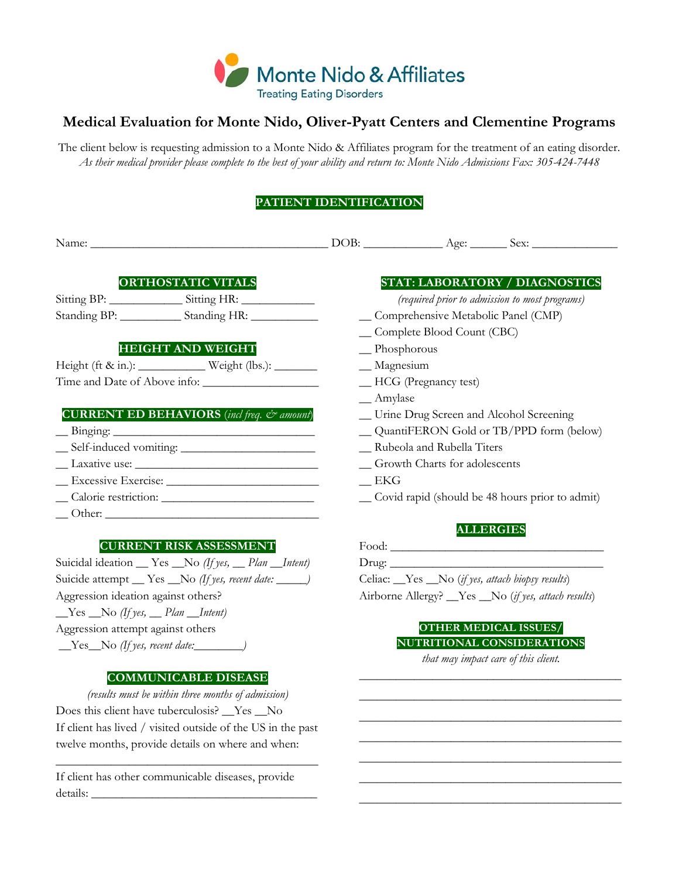

# **Medical Evaluation for Monte Nido, Oliver-Pyatt Centers and Clementine Programs**

The client below is requesting admission to a Monte Nido & Affiliates program for the treatment of an eating disorder. *As their medical provider please complete to the best of your ability and return to: Monte Nido Admissions Fax: 305-424-7448*

## **PATIENT IDENTIFICATION**

|                              | <b>ORTHOSTATIC VITALS</b>                                  |                                                 |                                      | <b>STAT: LABORATORY / DIAGNOSTICS</b>          |  |  |
|------------------------------|------------------------------------------------------------|-------------------------------------------------|--------------------------------------|------------------------------------------------|--|--|
|                              |                                                            |                                                 |                                      | (required prior to admission to most programs) |  |  |
|                              | Standing BP: _______________ Standing HR: _______________  |                                                 | _Comprehensive Metabolic Panel (CMP) |                                                |  |  |
|                              |                                                            | _Complete Blood Count (CBC)                     |                                      |                                                |  |  |
|                              | <b>HEIGHT AND WEIGHT</b>                                   | $\Box$ Phosphorous                              |                                      |                                                |  |  |
|                              |                                                            | $\equiv$ Magnesium                              |                                      |                                                |  |  |
| Time and Date of Above info: |                                                            |                                                 | -HCG (Pregnancy test)                |                                                |  |  |
|                              |                                                            | $\_$ Amylase                                    |                                      |                                                |  |  |
|                              | <b>CURRENT ED BEHAVIORS</b> (incl freq. $c\bar{c}$ amount) |                                                 |                                      | _Urine Drug Screen and Alcohol Screening       |  |  |
| $\frac{1}{2}$ Binging:       |                                                            | QuantiFERON Gold or TB/PPD form (below)         |                                      |                                                |  |  |
| $Self-induced vomiting:$     |                                                            | _ Rubeola and Rubella Titers                    |                                      |                                                |  |  |
|                              |                                                            | _Growth Charts for adolescents                  |                                      |                                                |  |  |
|                              |                                                            | EKG                                             |                                      |                                                |  |  |
|                              |                                                            | Covid rapid (should be 48 hours prior to admit) |                                      |                                                |  |  |
|                              |                                                            |                                                 |                                      |                                                |  |  |
|                              |                                                            |                                                 |                                      | <b>ALLERGIES</b>                               |  |  |

## **CURRENT RISK ASSESSMENT**

Suicidal ideation \_\_ Yes \_\_No *(If yes, \_\_ Plan \_\_Intent)* Suicide attempt \_\_ Yes \_\_No (If yes, recent date: \_\_\_\_\_) Aggression ideation against others? \_\_Yes \_\_No *(If yes, \_\_ Plan \_\_Intent)* Aggression attempt against others \_\_Yes\_\_No *(If yes, recent date:\_\_\_\_\_\_\_\_)*

## **COMMUNICABLE DISEASE**

*(results must be within three months of admission)* Does this client have tuberculosis? \_\_Yes \_\_No If client has lived / visited outside of the US in the past twelve months, provide details on where and when:

\_\_\_\_\_\_\_\_\_\_\_\_\_\_\_\_\_\_\_\_\_\_\_\_\_\_\_\_\_\_\_\_\_\_\_\_\_\_\_\_\_\_\_

If client has other communicable diseases, provide details: \_\_\_\_\_\_\_\_\_\_\_\_\_\_\_\_\_\_\_\_\_\_\_\_\_\_\_\_\_\_\_\_\_\_\_\_\_

| Food: $\rule{1em}{0.15mm}$                                     |  |
|----------------------------------------------------------------|--|
|                                                                |  |
| Celiac: <u>Yes</u> No ( <i>if yes, attach biopsy results</i> ) |  |
| Airborne Allergy? _Yes _No ( <i>if yes, attach results</i> )   |  |

## **OTHER MEDICAL ISSUES/ NUTRITIONAL CONSIDERATIONS**

*that may impact care of this client.* \_\_\_\_\_\_\_\_\_\_\_\_\_\_\_\_\_\_\_\_\_\_\_\_\_\_\_\_\_\_\_\_\_\_\_\_\_\_\_\_\_\_\_

\_\_\_\_\_\_\_\_\_\_\_\_\_\_\_\_\_\_\_\_\_\_\_\_\_\_\_\_\_\_\_\_\_\_\_\_\_\_\_\_\_\_\_ \_\_\_\_\_\_\_\_\_\_\_\_\_\_\_\_\_\_\_\_\_\_\_\_\_\_\_\_\_\_\_\_\_\_\_\_\_\_\_\_\_\_\_ \_\_\_\_\_\_\_\_\_\_\_\_\_\_\_\_\_\_\_\_\_\_\_\_\_\_\_\_\_\_\_\_\_\_\_\_\_\_\_\_\_\_\_ \_\_\_\_\_\_\_\_\_\_\_\_\_\_\_\_\_\_\_\_\_\_\_\_\_\_\_\_\_\_\_\_\_\_\_\_\_\_\_\_\_\_\_ \_\_\_\_\_\_\_\_\_\_\_\_\_\_\_\_\_\_\_\_\_\_\_\_\_\_\_\_\_\_\_\_\_\_\_\_\_\_\_\_\_\_\_ \_\_\_\_\_\_\_\_\_\_\_\_\_\_\_\_\_\_\_\_\_\_\_\_\_\_\_\_\_\_\_\_\_\_\_\_\_\_\_\_\_\_\_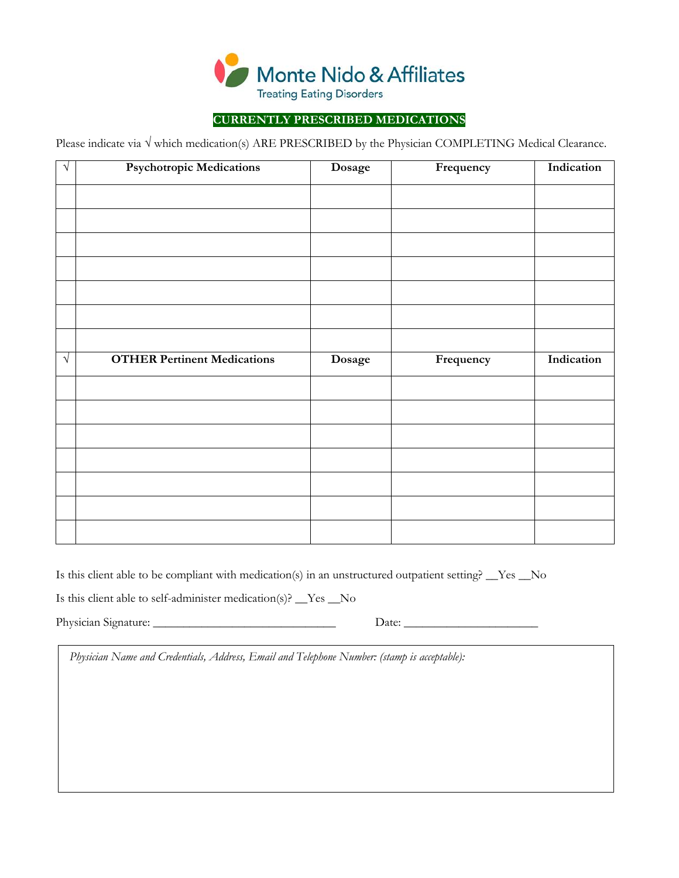

## **CURRENTLY PRESCRIBED MEDICATIONS**

Please indicate via √ which medication(s) ARE PRESCRIBED by the Physician COMPLETING Medical Clearance.

| $\sqrt{ }$ | <b>Psychotropic Medications</b>    | Dosage | Frequency | Indication |
|------------|------------------------------------|--------|-----------|------------|
|            |                                    |        |           |            |
|            |                                    |        |           |            |
|            |                                    |        |           |            |
|            |                                    |        |           |            |
|            |                                    |        |           |            |
|            |                                    |        |           |            |
|            |                                    |        |           |            |
| $\sqrt{ }$ | <b>OTHER Pertinent Medications</b> | Dosage | Frequency | Indication |
|            |                                    |        |           |            |
|            |                                    |        |           |            |
|            |                                    |        |           |            |
|            |                                    |        |           |            |
|            |                                    |        |           |            |
|            |                                    |        |           |            |
|            |                                    |        |           |            |
|            |                                    |        |           |            |
|            |                                    |        |           |            |

Is this client able to be compliant with medication(s) in an unstructured outpatient setting? \_\_Yes \_\_No Is this client able to self-administer medication(s)? \_\_Yes \_\_No

Physician Signature: \_\_\_\_\_\_\_\_\_\_\_\_\_\_\_\_\_\_\_\_\_\_\_\_\_\_\_\_\_\_ Date: \_\_\_\_\_\_\_\_\_\_\_\_\_\_\_\_\_\_\_\_\_\_

*Physician Name and Credentials, Address, Email and Telephone Number: (stamp is acceptable):*